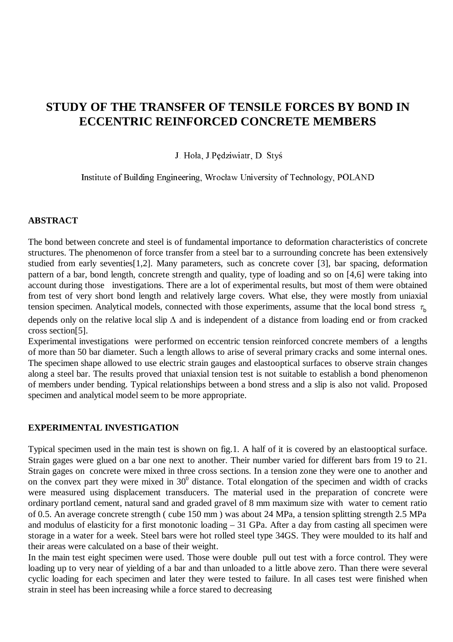# **STUDY OF THE TRANSFER OF TENSILE FORCES BY BOND IN ECCENTRIC REINFORCED CONCRETE MEMBERS**

J. Hoła, J. Pędziwiatr, D. Styś

Institute of Building Engineering, Wrocław University of Technology, POLAND

#### **ABSTRACT**

The bond between concrete and steel is of fundamental importance to deformation characteristics of concrete structures. The phenomenon of force transfer from a steel bar to a surrounding concrete has been extensively studied from early seventies[1,2]. Many parameters, such as concrete cover [3], bar spacing, deformation pattern of a bar, bond length, concrete strength and quality, type of loading and so on [4,6] were taking into account during those investigations. There are a lot of experimental results, but most of them were obtained from test of very short bond length and relatively large covers. What else, they were mostly from uniaxial tension specimen. Analytical models, connected with those experiments, assume that the local bond stress  $\tau_b$ 

depends only on the relative local slip  $\Delta$  and is independent of a distance from loading end or from cracked cross section[5].

Experimental investigations were performed on eccentric tension reinforced concrete members of a lengths of more than 50 bar diameter. Such a length allows to arise of several primary cracks and some internal ones. The specimen shape allowed to use electric strain gauges and elastooptical surfaces to observe strain changes along a steel bar. The results proved that uniaxial tension test is not suitable to establish a bond phenomenon of members under bending. Typical relationships between a bond stress and a slip is also not valid. Proposed specimen and analytical model seem to be more appropriate.

## **EXPERIMENTAL INVESTIGATION**

Typical specimen used in the main test is shown on fig.1. A half of it is covered by an elastooptical surface. Strain gages were glued on a bar one next to another. Their number varied for different bars from 19 to 21. Strain gages on concrete were mixed in three cross sections. In a tension zone they were one to another and on the convex part they were mixed in  $30^0$  distance. Total elongation of the specimen and width of cracks were measured using displacement transducers. The material used in the preparation of concrete were ordinary portland cement, natural sand and graded gravel of 8 mm maximum size with water to cement ratio of 0.5. An average concrete strength ( cube 150 mm ) was about 24 MPa, a tension splitting strength 2.5 MPa and modulus of elasticity for a first monotonic loading – 31 GPa. After a day from casting all specimen were storage in a water for a week. Steel bars were hot rolled steel type 34GS. They were moulded to its half and their areas were calculated on a base of their weight.

In the main test eight specimen were used. Those were double pull out test with a force control. They were loading up to very near of yielding of a bar and than unloaded to a little above zero. Than there were several cyclic loading for each specimen and later they were tested to failure. In all cases test were finished when strain in steel has been increasing while a force stared to decreasing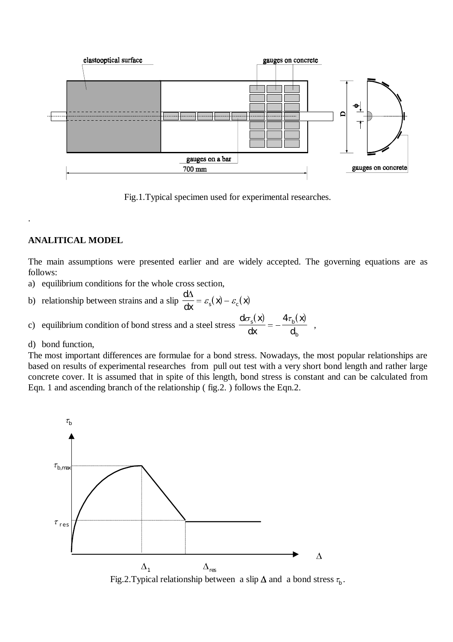

Fig.1.Typical specimen used for experimental researches.

## **ANALITICAL MODEL**

.

The main assumptions were presented earlier and are widely accepted. The governing equations are as follows:

a) equilibrium conditions for the whole cross section,

b) relationship between strains and a slip  $\frac{d\Delta}{dt} = \varepsilon_s(\mathbf{x}) - \varepsilon_c(\mathbf{x})$  $\frac{d\Delta}{dx} = \varepsilon_s(\mathbf{x}) - \varepsilon_c(\mathbf{x})$ 

c) equilibrium condition of bond stress and a steel stress  $d\sigma_s(x)$   $4\tau_b(x)$ *dx x d*  $s^{(A)}$   $\mathbf{F}^{\mu}$ *b*  $\frac{b(s(x))}{dt} = -\frac{4\tau_b(x)}{dt}$ ,

d) bond function,

The most important differences are formulae for a bond stress. Nowadays, the most popular relationships are based on results of experimental researches from pull out test with a very short bond length and rather large concrete cover. It is assumed that in spite of this length, bond stress is constant and can be calculated from Eqn. 1 and ascending branch of the relationship ( fig.2. ) follows the Eqn.2.

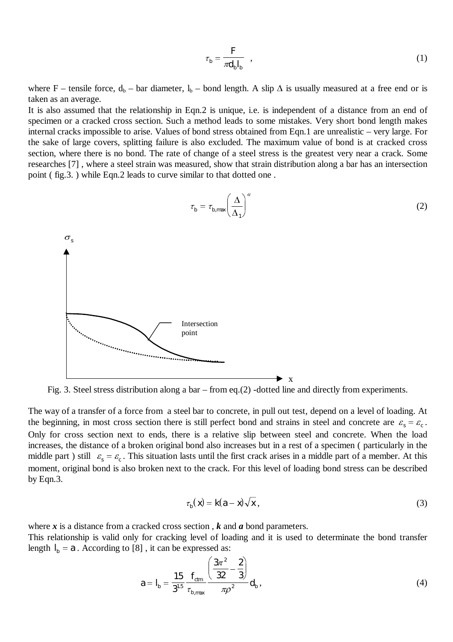$$
\tau_b = \frac{F}{\pi d_b l_b} \quad , \tag{1}
$$

where F – tensile force,  $d_b$  – bar diameter,  $l_b$  – bond length. A slip  $\Delta$  is usually measured at a free end or is taken as an average.

It is also assumed that the relationship in Eqn.2 is unique, i.e. is independent of a distance from an end of specimen or a cracked cross section. Such a method leads to some mistakes. Very short bond length makes internal cracks impossible to arise. Values of bond stress obtained from Eqn.1 are unrealistic – very large. For the sake of large covers, splitting failure is also excluded. The maximum value of bond is at cracked cross section, where there is no bond. The rate of change of a steel stress is the greatest very near a crack. Some researches [7] , where a steel strain was measured, show that strain distribution along a bar has an intersection point ( fig.3. ) while Eqn.2 leads to curve similar to that dotted one .



Fig. 3. Steel stress distribution along a bar – from eq.(2) -dotted line and directly from experiments.

The way of a transfer of a force from a steel bar to concrete, in pull out test, depend on a level of loading. At the beginning, in most cross section there is still perfect bond and strains in steel and concrete are  $\varepsilon_s = \varepsilon_c$ . Only for cross section next to ends, there is a relative slip between steel and concrete. When the load increases, the distance of a broken original bond also increases but in a rest of a specimen ( particularly in the middle part ) still  $\varepsilon_s = \varepsilon_c$ . This situation lasts until the first crack arises in a middle part of a member. At this moment, original bond is also broken next to the crack. For this level of loading bond stress can be described by Eqn.3.

$$
\tau_b(\mathbf{x}) = \mathbf{k}(\mathbf{a} - \mathbf{x})\sqrt{\mathbf{x}},\tag{3}
$$

where *x* is a distance from a cracked cross section , *k* and *a* bond parameters. This relationship is valid only for cracking level of loading and it is used to determinate the bond transfer length  $I_b = a$ . According to [8], it can be expressed as:

$$
a = I_b = \frac{15}{3^{15}} \frac{f_{\text{cm}}}{\tau_{\text{b,max}}} \frac{\left(\frac{3\pi^2}{32} - \frac{2}{3}\right)}{\pi \rho^2} d_b,
$$
(4)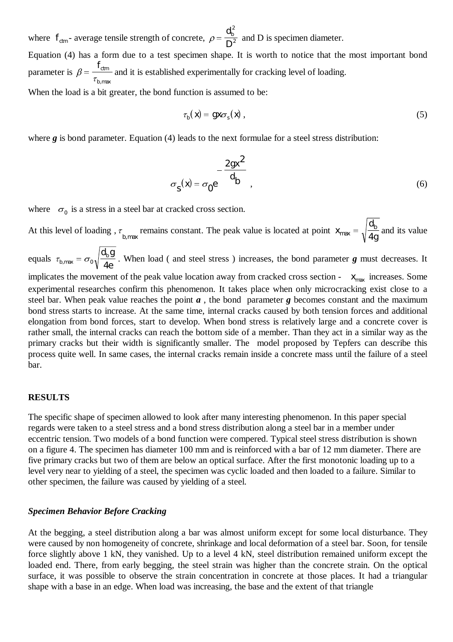where  $f_{cm}$ - average tensile strength of concrete,  $\rho = \frac{d}{D}$ *b* 2  $\frac{2}{2}$  and D is specimen diameter. Equation (4) has a form due to a test specimen shape. It is worth to notice that the most important bond parameter is  $\beta$  $=\frac{f_{cm}}{\tau_{b,\rm max}}$ and it is established experimentally for cracking level of loading. When the load is a bit greater, the bond function is assumed to be:

$$
\tau_b(\mathbf{x}) = \mathbf{g}\mathbf{x}\sigma_s(\mathbf{x}),\tag{5}
$$

where **g** is bond parameter. Equation (4) leads to the next formulae for a steel stress distribution:

$$
\sigma_{\mathbf{S}}(\mathbf{x}) = \sigma_{0} \mathbf{e}^{-\frac{2gx^{2}}{d_{b}}}, \tag{6}
$$

where  $\sigma_0$  is a stress in a steel bar at cracked cross section.

At this level of loading,  $\tau_{b, \text{max}}$  remains constant. The peak value is located at point *x d g*  $b_{\text{max}} = \sqrt{\frac{d_b}{4g}}$  and its value

equals  $\tau_{b, \text{max}} = \sigma$  $\sigma_0 \sqrt{\frac{d_b g}{4e}}$ . When load ( and steel stress ) increases, the bond parameter *g* must decreases. It

implicates the movement of the peak value location away from cracked cross section -  $x_{\text{max}}$  increases. Some experimental researches confirm this phenomenon. It takes place when only microcracking exist close to a steel bar. When peak value reaches the point *a* , the bond parameter *g* becomes constant and the maximum bond stress starts to increase. At the same time, internal cracks caused by both tension forces and additional elongation from bond forces, start to develop. When bond stress is relatively large and a concrete cover is rather small, the internal cracks can reach the bottom side of a member. Than they act in a similar way as the primary cracks but their width is significantly smaller. The model proposed by Tepfers can describe this process quite well. In same cases, the internal cracks remain inside a concrete mass until the failure of a steel bar.

#### **RESULTS**

The specific shape of specimen allowed to look after many interesting phenomenon. In this paper special regards were taken to a steel stress and a bond stress distribution along a steel bar in a member under eccentric tension. Two models of a bond function were compered. Typical steel stress distribution is shown on a figure 4. The specimen has diameter 100 mm and is reinforced with a bar of 12 mm diameter. There are five primary cracks but two of them are below an optical surface. After the first monotonic loading up to a level very near to yielding of a steel, the specimen was cyclic loaded and then loaded to a failure. Similar to other specimen, the failure was caused by yielding of a steel.

#### *Specimen Behavior Before Cracking*

At the begging, a steel distribution along a bar was almost uniform except for some local disturbance. They were caused by non homogeneity of concrete, shrinkage and local deformation of a steel bar. Soon, for tensile force slightly above 1 kN, they vanished. Up to a level 4 kN, steel distribution remained uniform except the loaded end. There, from early begging, the steel strain was higher than the concrete strain. On the optical surface, it was possible to observe the strain concentration in concrete at those places. It had a triangular shape with a base in an edge. When load was increasing, the base and the extent of that triangle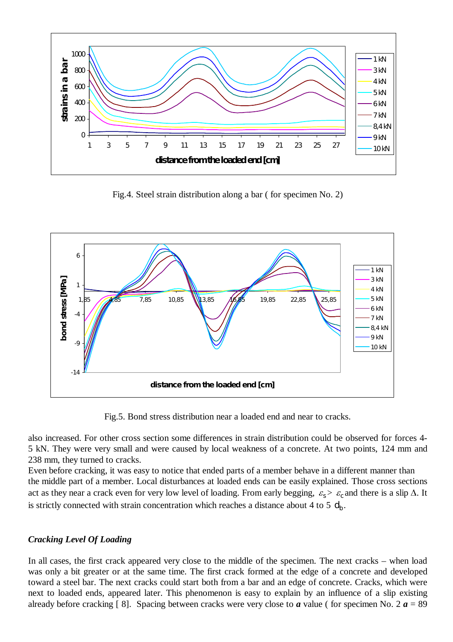

Fig.4. Steel strain distribution along a bar ( for specimen No. 2)



Fig.5. Bond stress distribution near a loaded end and near to cracks.

also increased. For other cross section some differences in strain distribution could be observed for forces 4- 5 kN. They were very small and were caused by local weakness of a concrete. At two points, 124 mm and 238 mm, they turned to cracks.

Even before cracking, it was easy to notice that ended parts of a member behave in a different manner than the middle part of a member. Local disturbances at loaded ends can be easily explained. Those cross sections act as they near a crack even for very low level of loading. From early begging,  $\varepsilon_s > \varepsilon_c$  and there is a slip  $\Delta$ . It is strictly connected with strain concentration which reaches a distance about 4 to 5  $d<sub>b</sub>$ .

# *Cracking Level Of Loading*

In all cases, the first crack appeared very close to the middle of the specimen. The next cracks – when load was only a bit greater or at the same time. The first crack formed at the edge of a concrete and developed toward a steel bar. The next cracks could start both from a bar and an edge of concrete. Cracks, which were next to loaded ends, appeared later. This phenomenon is easy to explain by an influence of a slip existing already before cracking [8]. Spacing between cracks were very close to  $\boldsymbol{a}$  value (for specimen No. 2  $\boldsymbol{a} = 89$ )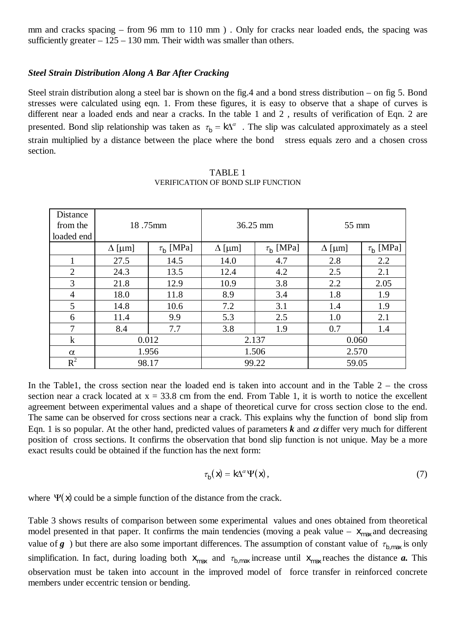mm and cracks spacing – from 96 mm to 110 mm ) . Only for cracks near loaded ends, the spacing was sufficiently greater  $-125 - 130$  mm. Their width was smaller than others.

#### *Steel Strain Distribution Along A Bar After Cracking*

Steel strain distribution along a steel bar is shown on the fig.4 and a bond stress distribution – on fig 5. Bond stresses were calculated using eqn. 1. From these figures, it is easy to observe that a shape of curves is different near a loaded ends and near a cracks. In the table 1 and 2 , results of verification of Eqn. 2 are presented. Bond slip relationship was taken as  $\tau_b = k\Delta^\alpha$ . The slip was calculated approximately as a steel strain multiplied by a distance between the place where the bond stress equals zero and a chosen cross section.

| Distance<br>from the<br>loaded end | 18.75mm       |                |               | 36.25 mm       | $55 \text{ mm}$ |                |  |
|------------------------------------|---------------|----------------|---------------|----------------|-----------------|----------------|--|
|                                    | $\Delta$ [µm] | $\tau_b$ [MPa] | $\Delta$ [µm] | $\tau_b$ [MPa] | $\Delta$ [µm]   | $\tau_b$ [MPa] |  |
| 1                                  | 27.5          | 14.5           | 14.0          | 4.7            | 2.8             | 2.2            |  |
| $\overline{2}$                     | 24.3          | 13.5           | 12.4          | 4.2            | 2.5             | 2.1            |  |
| 3                                  | 21.8          | 12.9           | 10.9          | 3.8            | 2.2             | 2.05           |  |
| $\overline{4}$                     | 18.0          | 11.8           | 8.9           | 3.4            | 1.8             | 1.9            |  |
| 5                                  | 14.8          | 10.6           | 7.2           | 3.1            | 1.4             | 1.9            |  |
| 6                                  | 11.4          | 9.9            | 5.3           | 2.5            | 1.0             | 2.1            |  |
| $\overline{7}$                     | 8.4           | 7.7            | 3.8           | 1.9            | 0.7             | 1.4            |  |
| $\bf k$                            | 0.012         |                | 2.137         |                | 0.060           |                |  |
| $\alpha$                           | 1.956         |                | 1.506         |                | 2.570           |                |  |
| $R^2$                              | 98.17         |                | 99.22         |                | 59.05           |                |  |

TABLE 1 VERIFICATION OF BOND SLIP FUNCTION

In the Table1, the cross section near the loaded end is taken into account and in the Table 2 – the cross section near a crack located at  $x = 33.8$  cm from the end. From Table 1, it is worth to notice the excellent agreement between experimental values and a shape of theoretical curve for cross section close to the end. The same can be observed for cross sections near a crack. This explains why the function of bond slip from Eqn. 1 is so popular. At the other hand, predicted values of parameters  $k$  and  $\alpha$  differ very much for different position of cross sections. It confirms the observation that bond slip function is not unique. May be a more exact results could be obtained if the function has the next form:

$$
\tau_{\mathbf{b}}(\mathbf{x}) = \mathbf{k} \Delta^{\alpha} \Psi(\mathbf{x}), \tag{7}
$$

where  $\Psi(\mathbf{x})$  could be a simple function of the distance from the crack.

Table 3 shows results of comparison between some experimental values and ones obtained from theoretical model presented in that paper. It confirms the main tendencies (moving a peak value –  $x_{\text{max}}$  and decreasing value of *g* ) but there are also some important differences. The assumption of constant value of  $\tau_{b,\text{max}}$  is only simplification. In fact, during loading both  $x_{\text{max}}$  and  $\tau_{b,\text{max}}$  increase until  $x_{\text{max}}$  reaches the distance *a*. This observation must be taken into account in the improved model of force transfer in reinforced concrete members under eccentric tension or bending.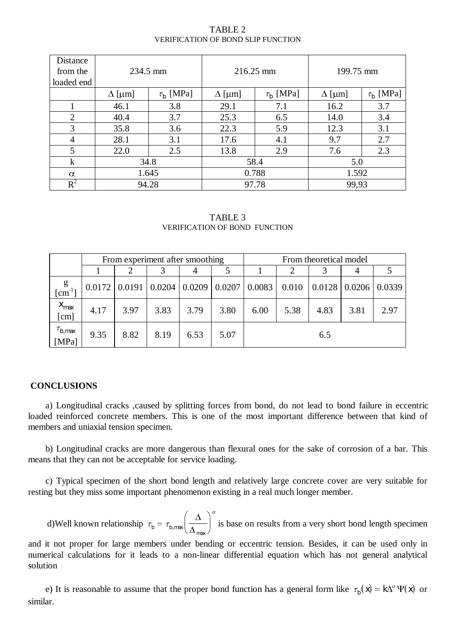| Distance<br>from the<br>loaded end | 234.5 mm      |                |               | 216.25 mm      | 199.75 mm     |                |  |
|------------------------------------|---------------|----------------|---------------|----------------|---------------|----------------|--|
|                                    | $\Delta$ [µm] | $\tau_b$ [MPa] | $\Delta$ [µm] | $\tau_b$ [MPa] | $\Delta$ [µm] | $\tau_b$ [MPa] |  |
|                                    | 46.1          | 3.8            | 29.1          | 7.1            | 16.2          | 3.7            |  |
| $\overline{2}$                     | 40.4          | 3.7            | 25.3          | 6.5            | 14.0          | 3.4            |  |
| 3                                  | 35.8          | 3.6            | 22.3          | 5.9            | 12.3          | 3.1            |  |
| $\overline{4}$                     | 28.1          | 3.1            | 17.6          | 4.1            | 9.7           | 2.7            |  |
| 5                                  | 22.0          | 2.5            | 13.8          | 2.9            | 7.6           | 2.3            |  |
| $\bf k$                            | 34.8          |                | 58.4          |                | 5.0           |                |  |
| $\alpha$                           | 1.645         |                | 0.788         |                | 1.592         |                |  |
| $R^2$                              | 94.28         |                | 97.78         |                | 99,93         |                |  |

TABLE 2 VERIFICATION OF BOND SLIP FUNCTION

TABLE 3 VERIFICATION OF BOND FUNCTION

|                                  | From experiment after smoothing |      |      |      | From theoretical model |                                                       |       |                                |      |        |
|----------------------------------|---------------------------------|------|------|------|------------------------|-------------------------------------------------------|-------|--------------------------------|------|--------|
|                                  |                                 |      |      | 4    |                        |                                                       |       |                                | 4    |        |
| g<br>$\lceil$ cm <sup>-1</sup>   |                                 |      |      |      |                        | $0.0172$   0.0191   0.0204   0.0209   0.0207   0.0083 | 0.010 | $\mid 0.0128 \mid 0.0206 \mid$ |      | 0.0339 |
| $X_{\text{max}}$<br>[cm]         | 4.17                            | 3.97 | 3.83 | 3.79 | 3.80                   | 6.00                                                  | 5.38  | 4.83                           | 3.81 | 2.97   |
| $\tau_{b,\mathrm{max}}$<br>[MPa] | 9.35                            | 8.82 | 8.19 | 6.53 | 5.07                   |                                                       |       | 6.5                            |      |        |

# **CONCLUSIONS**

a) Longitudinal cracks ,caused by splitting forces from bond, do not lead to bond failure in eccentric loaded reinforced concrete members. This is one of the most important difference between that kind of members and uniaxial tension specimen.

b) Longitudinal cracks are more dangerous than flexural ones for the sake of corrosion of a bar. This means that they can not be acceptable for service loading.

c) Typical specimen of the short bond length and relatively large concrete cover are very suitable for resting but they miss some important phenomenon existing in a real much longer member.

d)Well known relationship  $\tau_b = \tau_b$  $\tau_{b,\text{max}} \left( \frac{\Delta}{\Delta_{\text{max}}} \right)^{\alpha}$  $\left(\frac{\Delta}{\Delta}\right)$  $\frac{1}{\Delta_{\text{max}}}\left(\frac{1}{\Delta_{\text{max}}}\right)$ max  $\left(\frac{\Delta}{\Delta_{\text{max}}}\right)^{2}$  is base on results from a very short bond length specimen

and it not proper for large members under bending or eccentric tension. Besides, it can be used only in numerical calculations for it leads to a non-linear differential equation which has not general analytical solution

e) It is reasonable to assume that the proper bond function has a general form like  $\tau_b(x) = k\Delta^\alpha \Psi(x)$  or similar.